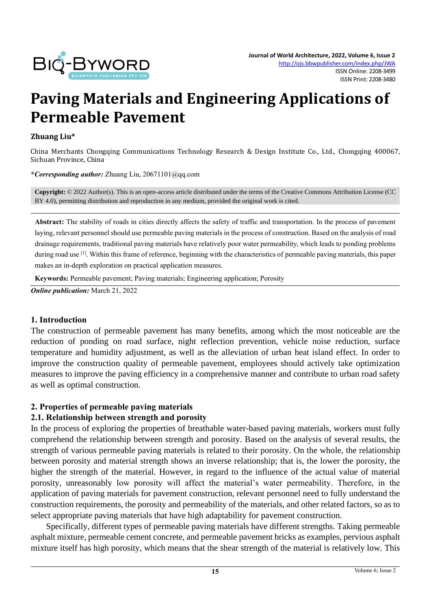

# **Paving Materials and Engineering Applications of Permeable Pavement**

#### **Zhuang Liu\***

China Merchants Chongqing Communications Technology Research & Design Institute Co., Ltd., Chongqing 400067, Sichuan Province, China

**\****Corresponding author:* Zhuang Liu, 20671101@qq.com

**Copyright:** © 2022 Author(s). This is an open-access article distributed under the terms of th[e Creative Commons Attribution License \(CC](https://creativecommons.org/licenses/by/4.0/)  [BY 4.0\),](https://creativecommons.org/licenses/by/4.0/) permitting distribution and reproduction in any medium, provided the original work is cited.

Abstract: The stability of roads in cities directly affects the safety of traffic and transportation. In the process of pavement laying, relevant personnel should use permeable paving materials in the process of construction. Based on the analysis of road drainage requirements, traditional paving materials have relatively poor water permeability, which leads to ponding problems during road use <sup>[1]</sup>. Within this frame of reference, beginning with the characteristics of permeable paving materials, this paper makes an in-depth exploration on practical application measures.

**Keywords:** Permeable pavement; Paving materials; Engineering application; Porosity

*Online publication:* March 21, 2022

#### **1. Introduction**

The construction of permeable pavement has many benefits, among which the most noticeable are the reduction of ponding on road surface, night reflection prevention, vehicle noise reduction, surface temperature and humidity adjustment, as well as the alleviation of urban heat island effect. In order to improve the construction quality of permeable pavement, employees should actively take optimization measures to improve the paving efficiency in a comprehensive manner and contribute to urban road safety as well as optimal construction.

#### **2. Properties of permeable paving materials**

#### **2.1. Relationship between strength and porosity**

In the process of exploring the properties of breathable water-based paving materials, workers must fully comprehend the relationship between strength and porosity. Based on the analysis of several results, the strength of various permeable paving materials is related to their porosity. On the whole, the relationship between porosity and material strength shows an inverse relationship; that is, the lower the porosity, the higher the strength of the material. However, in regard to the influence of the actual value of material porosity, unreasonably low porosity will affect the material's water permeability. Therefore, in the application of paving materials for pavement construction, relevant personnel need to fully understand the construction requirements, the porosity and permeability of the materials, and other related factors, so as to select appropriate paving materials that have high adaptability for pavement construction.

Specifically, different types of permeable paving materials have different strengths. Taking permeable asphalt mixture, permeable cement concrete, and permeable pavement bricks as examples, pervious asphalt mixture itself has high porosity, which means that the shear strength of the material is relatively low. This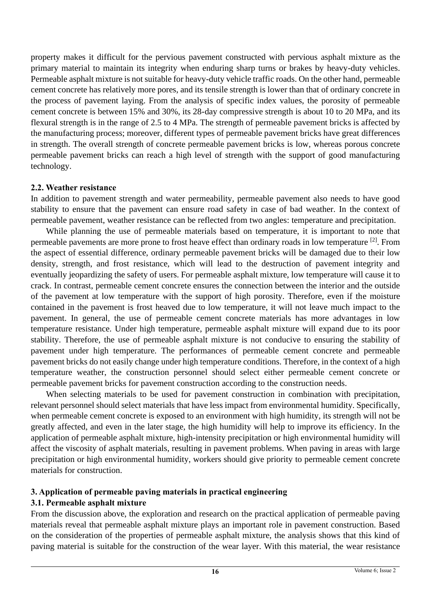property makes it difficult for the pervious pavement constructed with pervious asphalt mixture as the primary material to maintain its integrity when enduring sharp turns or brakes by heavy-duty vehicles. Permeable asphalt mixture is not suitable for heavy-duty vehicle traffic roads. On the other hand, permeable cement concrete has relatively more pores, and its tensile strength is lower than that of ordinary concrete in the process of pavement laying. From the analysis of specific index values, the porosity of permeable cement concrete is between 15% and 30%, its 28-day compressive strength is about 10 to 20 MPa, and its flexural strength is in the range of 2.5 to 4 MPa. The strength of permeable pavement bricks is affected by the manufacturing process; moreover, different types of permeable pavement bricks have great differences in strength. The overall strength of concrete permeable pavement bricks is low, whereas porous concrete permeable pavement bricks can reach a high level of strength with the support of good manufacturing technology.

## **2.2. Weather resistance**

In addition to pavement strength and water permeability, permeable pavement also needs to have good stability to ensure that the pavement can ensure road safety in case of bad weather. In the context of permeable pavement, weather resistance can be reflected from two angles: temperature and precipitation.

While planning the use of permeable materials based on temperature, it is important to note that permeable pavements are more prone to frost heave effect than ordinary roads in low temperature <sup>[2]</sup>. From the aspect of essential difference, ordinary permeable pavement bricks will be damaged due to their low density, strength, and frost resistance, which will lead to the destruction of pavement integrity and eventually jeopardizing the safety of users. For permeable asphalt mixture, low temperature will cause it to crack. In contrast, permeable cement concrete ensures the connection between the interior and the outside of the pavement at low temperature with the support of high porosity. Therefore, even if the moisture contained in the pavement is frost heaved due to low temperature, it will not leave much impact to the pavement. In general, the use of permeable cement concrete materials has more advantages in low temperature resistance. Under high temperature, permeable asphalt mixture will expand due to its poor stability. Therefore, the use of permeable asphalt mixture is not conducive to ensuring the stability of pavement under high temperature. The performances of permeable cement concrete and permeable pavement bricks do not easily change under high temperature conditions. Therefore, in the context of a high temperature weather, the construction personnel should select either permeable cement concrete or permeable pavement bricks for pavement construction according to the construction needs.

When selecting materials to be used for pavement construction in combination with precipitation, relevant personnel should select materials that have less impact from environmental humidity. Specifically, when permeable cement concrete is exposed to an environment with high humidity, its strength will not be greatly affected, and even in the later stage, the high humidity will help to improve its efficiency. In the application of permeable asphalt mixture, high-intensity precipitation or high environmental humidity will affect the viscosity of asphalt materials, resulting in pavement problems. When paving in areas with large precipitation or high environmental humidity, workers should give priority to permeable cement concrete materials for construction.

# **3. Application of permeable paving materials in practical engineering**

# **3.1. Permeable asphalt mixture**

From the discussion above, the exploration and research on the practical application of permeable paving materials reveal that permeable asphalt mixture plays an important role in pavement construction. Based on the consideration of the properties of permeable asphalt mixture, the analysis shows that this kind of paving material is suitable for the construction of the wear layer. With this material, the wear resistance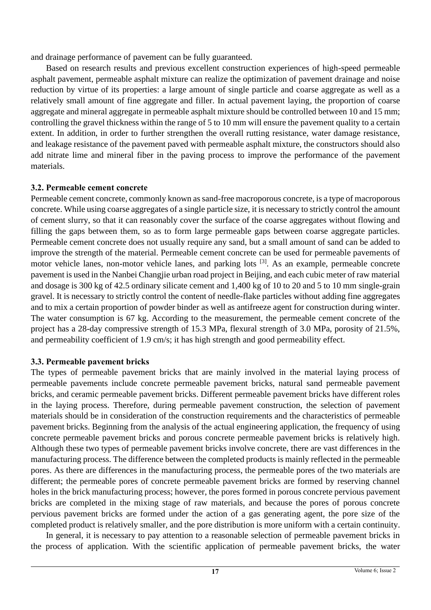and drainage performance of pavement can be fully guaranteed.

Based on research results and previous excellent construction experiences of high-speed permeable asphalt pavement, permeable asphalt mixture can realize the optimization of pavement drainage and noise reduction by virtue of its properties: a large amount of single particle and coarse aggregate as well as a relatively small amount of fine aggregate and filler. In actual pavement laying, the proportion of coarse aggregate and mineral aggregate in permeable asphalt mixture should be controlled between 10 and 15 mm; controlling the gravel thickness within the range of 5 to 10 mm will ensure the pavement quality to a certain extent. In addition, in order to further strengthen the overall rutting resistance, water damage resistance, and leakage resistance of the pavement paved with permeable asphalt mixture, the constructors should also add nitrate lime and mineral fiber in the paving process to improve the performance of the pavement materials.

# **3.2. Permeable cement concrete**

Permeable cement concrete, commonly known as sand-free macroporous concrete, is a type of macroporous concrete. While using coarse aggregates of a single particle size, it is necessary to strictly control the amount of cement slurry, so that it can reasonably cover the surface of the coarse aggregates without flowing and filling the gaps between them, so as to form large permeable gaps between coarse aggregate particles. Permeable cement concrete does not usually require any sand, but a small amount of sand can be added to improve the strength of the material. Permeable cement concrete can be used for permeable pavements of motor vehicle lanes, non-motor vehicle lanes, and parking lots <sup>[3]</sup>. As an example, permeable concrete pavement is used in the Nanbei Changjie urban road project in Beijing, and each cubic meter of raw material and dosage is 300 kg of 42.5 ordinary silicate cement and 1,400 kg of 10 to 20 and 5 to 10 mm single-grain gravel. It is necessary to strictly control the content of needle-flake particles without adding fine aggregates and to mix a certain proportion of powder binder as well as antifreeze agent for construction during winter. The water consumption is 67 kg. According to the measurement, the permeable cement concrete of the project has a 28-day compressive strength of 15.3 MPa, flexural strength of 3.0 MPa, porosity of 21.5%, and permeability coefficient of 1.9 cm/s; it has high strength and good permeability effect.

# **3.3. Permeable pavement bricks**

The types of permeable pavement bricks that are mainly involved in the material laying process of permeable pavements include concrete permeable pavement bricks, natural sand permeable pavement bricks, and ceramic permeable pavement bricks. Different permeable pavement bricks have different roles in the laying process. Therefore, during permeable pavement construction, the selection of pavement materials should be in consideration of the construction requirements and the characteristics of permeable pavement bricks. Beginning from the analysis of the actual engineering application, the frequency of using concrete permeable pavement bricks and porous concrete permeable pavement bricks is relatively high. Although these two types of permeable pavement bricks involve concrete, there are vast differences in the manufacturing process. The difference between the completed products is mainly reflected in the permeable pores. As there are differences in the manufacturing process, the permeable pores of the two materials are different; the permeable pores of concrete permeable pavement bricks are formed by reserving channel holes in the brick manufacturing process; however, the pores formed in porous concrete pervious pavement bricks are completed in the mixing stage of raw materials, and because the pores of porous concrete pervious pavement bricks are formed under the action of a gas generating agent, the pore size of the completed product is relatively smaller, and the pore distribution is more uniform with a certain continuity.

In general, it is necessary to pay attention to a reasonable selection of permeable pavement bricks in the process of application. With the scientific application of permeable pavement bricks, the water